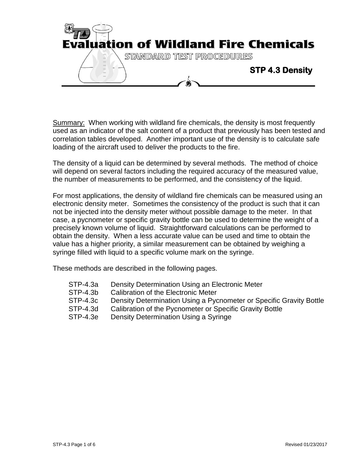

Summary: When working with wildland fire chemicals, the density is most frequently used as an indicator of the salt content of a product that previously has been tested and correlation tables developed. Another important use of the density is to calculate safe loading of the aircraft used to deliver the products to the fire.

The density of a liquid can be determined by several methods. The method of choice will depend on several factors including the required accuracy of the measured value, the number of measurements to be performed, and the consistency of the liquid.

For most applications, the density of wildland fire chemicals can be measured using an electronic density meter. Sometimes the consistency of the product is such that it can not be injected into the density meter without possible damage to the meter. In that case, a pycnometer or specific gravity bottle can be used to determine the weight of a precisely known volume of liquid. Straightforward calculations can be performed to obtain the density. When a less accurate value can be used and time to obtain the value has a higher priority, a similar measurement can be obtained by weighing a syringe filled with liquid to a specific volume mark on the syringe.

These methods are described in the following pages.

- STP-4.3a Density Determination Using an Electronic Meter
- STP-4.3b Calibration of the Electronic Meter
- STP-4.3c Density Determination Using a Pycnometer or Specific Gravity Bottle
- STP-4.3d Calibration of the Pycnometer or Specific Gravity Bottle
- STP-4.3e Density Determination Using a Syringe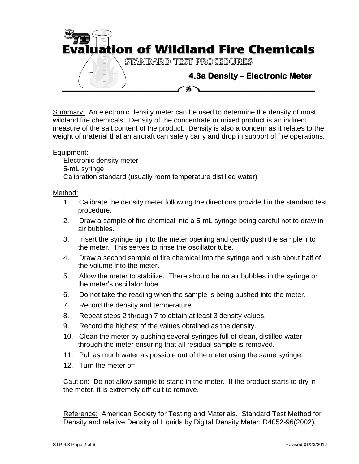

Summary: An electronic density meter can be used to determine the density of most wildland fire chemicals. Density of the concentrate or mixed product is an indirect measure of the salt content of the product. Density is also a concern as it relates to the weight of material that an aircraft can safely carry and drop in support of fire operations.

# Equipment:

Electronic density meter 5-mL syringe Calibration standard (usually room temperature distilled water)

# Method:

- 1. Calibrate the density meter following the directions provided in the standard test procedure.
- 2. Draw a sample of fire chemical into a 5-mL syringe being careful not to draw in air bubbles.
- 3. Insert the syringe tip into the meter opening and gently push the sample into the meter. This serves to rinse the oscillator tube.
- 4. Draw a second sample of fire chemical into the syringe and push about half of the volume into the meter.
- 5. Allow the meter to stabilize. There should be no air bubbles in the syringe or the meter's oscillator tube.
- 6. Do not take the reading when the sample is being pushed into the meter.
- 7. Record the density and temperature.
- 8. Repeat steps 2 through 7 to obtain at least 3 density values.
- 9. Record the highest of the values obtained as the density.
- 10. Clean the meter by pushing several syringes full of clean, distilled water through the meter ensuring that all residual sample is removed.
- 11. Pull as much water as possible out of the meter using the same syringe.
- 12. Turn the meter off.

Caution: Do not allow sample to stand in the meter. If the product starts to dry in the meter, it is extremely difficult to remove.

Reference: American Society for Testing and Materials. Standard Test Method for Density and relative Density of Liquids by Digital Density Meter; D4052-96(2002).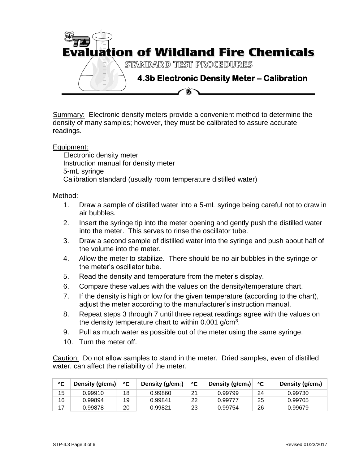

Summary: Electronic density meters provide a convenient method to determine the density of many samples; however, they must be calibrated to assure accurate readings.

## Equipment:

Electronic density meter Instruction manual for density meter 5-mL syringe Calibration standard (usually room temperature distilled water)

#### Method:

- 1. Draw a sample of distilled water into a 5-mL syringe being careful not to draw in air bubbles.
- 2. Insert the syringe tip into the meter opening and gently push the distilled water into the meter. This serves to rinse the oscillator tube.
- 3. Draw a second sample of distilled water into the syringe and push about half of the volume into the meter.
- 4. Allow the meter to stabilize. There should be no air bubbles in the syringe or the meter's oscillator tube.
- 5. Read the density and temperature from the meter's display.
- 6. Compare these values with the values on the density/temperature chart.
- 7. If the density is high or low for the given temperature (according to the chart), adjust the meter according to the manufacturer's instruction manual.
- 8. Repeat steps 3 through 7 until three repeat readings agree with the values on the density temperature chart to within 0.001 g/cm<sup>3</sup>.
- 9. Pull as much water as possible out of the meter using the same syringe.
- 10. Turn the meter off.

Caution: Do not allow samples to stand in the meter. Dried samples, even of distilled water, can affect the reliability of the meter.

| °C | Density ( $g/cm3$ ) | °C | Density (g/cm <sub>3</sub> ) | °C | Density $(g/cm3)$ | °C | Density ( $g/cm3$ ) |
|----|---------------------|----|------------------------------|----|-------------------|----|---------------------|
| 15 | 0.99910             | 18 | 0.99860                      | 21 | 0.99799           | 24 | 0.99730             |
| 16 | 0.99894             | 19 | 0.99841                      | 22 | 0.99777           | 25 | 0.99705             |
| 17 | 0.99878             | 20 | 0.99821                      | 23 | 0.99754           | 26 | 0.99679             |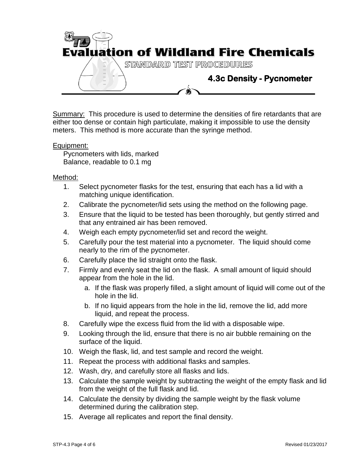

Summary: This procedure is used to determine the densities of fire retardants that are either too dense or contain high particulate, making it impossible to use the density meters. This method is more accurate than the syringe method.

## Equipment:

Pycnometers with lids, marked Balance, readable to 0.1 mg

#### Method:

- 1. Select pycnometer flasks for the test, ensuring that each has a lid with a matching unique identification.
- 2. Calibrate the pycnometer/lid sets using the method on the following page.
- 3. Ensure that the liquid to be tested has been thoroughly, but gently stirred and that any entrained air has been removed.
- 4. Weigh each empty pycnometer/lid set and record the weight.
- 5. Carefully pour the test material into a pycnometer. The liquid should come nearly to the rim of the pycnometer.
- 6. Carefully place the lid straight onto the flask.
- 7. Firmly and evenly seat the lid on the flask. A small amount of liquid should appear from the hole in the lid.
	- a. If the flask was properly filled, a slight amount of liquid will come out of the hole in the lid.
	- b. If no liquid appears from the hole in the lid, remove the lid, add more liquid, and repeat the process.
- 8. Carefully wipe the excess fluid from the lid with a disposable wipe.
- 9. Looking through the lid, ensure that there is no air bubble remaining on the surface of the liquid.
- 10. Weigh the flask, lid, and test sample and record the weight.
- 11. Repeat the process with additional flasks and samples.
- 12. Wash, dry, and carefully store all flasks and lids.
- 13. Calculate the sample weight by subtracting the weight of the empty flask and lid from the weight of the full flask and lid.
- 14. Calculate the density by dividing the sample weight by the flask volume determined during the calibration step.
- 15. Average all replicates and report the final density.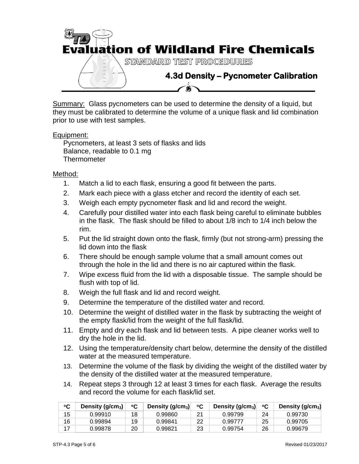

Summary: Glass pycnometers can be used to determine the density of a liquid, but they must be calibrated to determine the volume of a unique flask and lid combination prior to use with test samples.

# Equipment:

Pycnometers, at least 3 sets of flasks and lids Balance, readable to 0.1 mg **Thermometer** 

## Method:

- 1. Match a lid to each flask, ensuring a good fit between the parts.
- 2. Mark each piece with a glass etcher and record the identity of each set.
- 3. Weigh each empty pycnometer flask and lid and record the weight.
- 4. Carefully pour distilled water into each flask being careful to eliminate bubbles in the flask. The flask should be filled to about 1/8 inch to 1/4 inch below the rim.
- 5. Put the lid straight down onto the flask, firmly (but not strong-arm) pressing the lid down into the flask
- 6. There should be enough sample volume that a small amount comes out through the hole in the lid and there is no air captured within the flask.
- 7. Wipe excess fluid from the lid with a disposable tissue. The sample should be flush with top of lid.
- 8. Weigh the full flask and lid and record weight.
- 9. Determine the temperature of the distilled water and record.
- 10. Determine the weight of distilled water in the flask by subtracting the weight of the empty flask/lid from the weight of the full flask/lid.
- 11. Empty and dry each flask and lid between tests. A pipe cleaner works well to dry the hole in the lid.
- 12. Using the temperature/density chart below, determine the density of the distilled water at the measured temperature.
- 13. Determine the volume of the flask by dividing the weight of the distilled water by the density of the distilled water at the measured temperature.
- 14. Repeat steps 3 through 12 at least 3 times for each flask. Average the results and record the volume for each flask/lid set.

| °C | Density (g/cm <sub>3</sub> ) | ℃  | Density $(g/cm3)$ | °C | Density $(g/cm3)$ | ்С | Density (g/cm <sub>3</sub> ) |
|----|------------------------------|----|-------------------|----|-------------------|----|------------------------------|
| 15 | 0.99910                      | 18 | 0.99860           | 21 | 0.99799           | 24 | 0.99730                      |
| 16 | 0.99894                      | 19 | 0.99841           | 22 | 0.99777           | 25 | 0.99705                      |
| 17 | 0.99878                      | 20 | 0.99821           | 23 | 0.99754           | 26 | 0.99679                      |